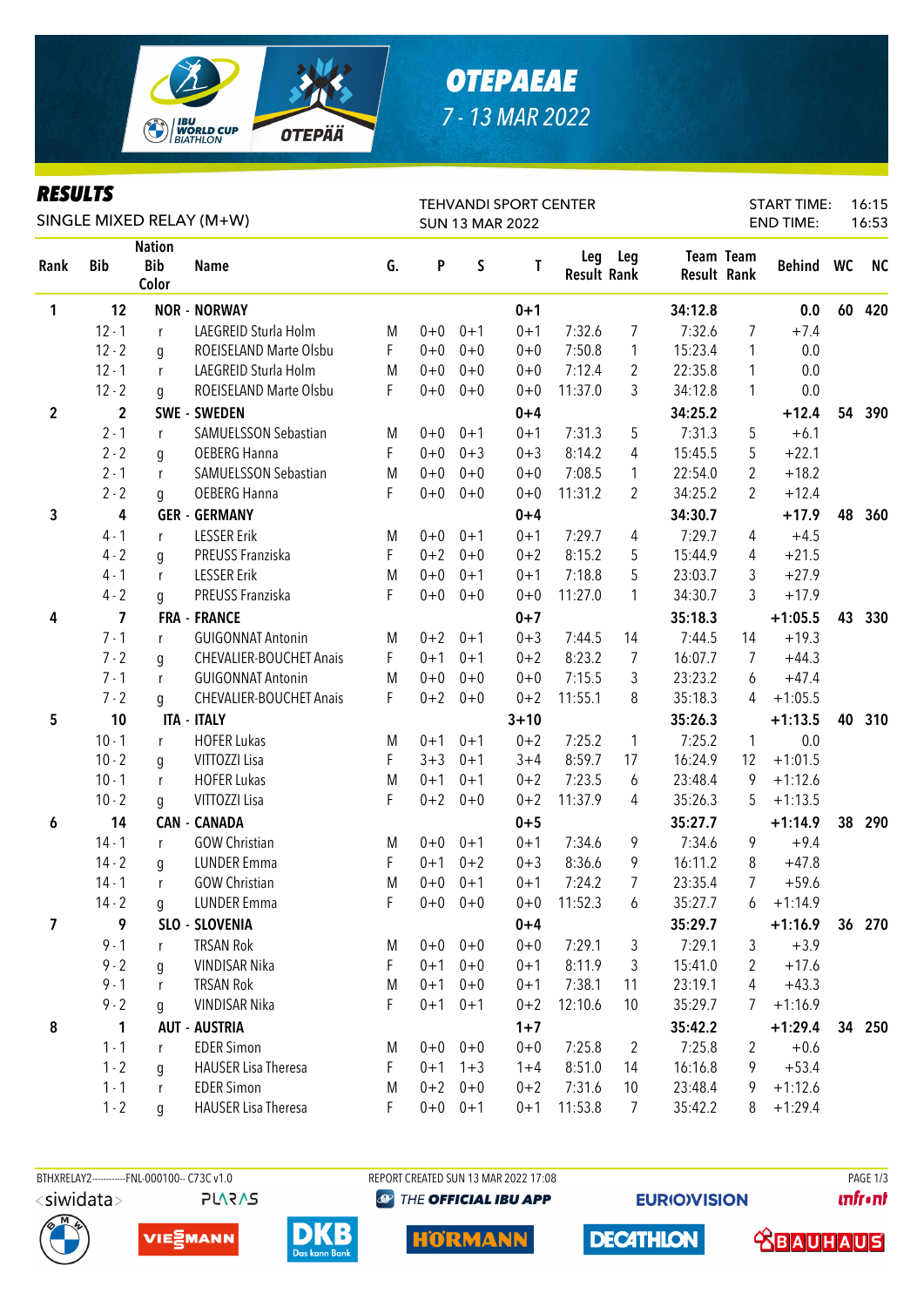

# *OTEPAEAE 7 - 13 MAR 2022*

#### *RESULTS*

| KEYULIY     |                |                                      | SINGLE MIXED RELAY (M+W)       |    | <b>TEHVANDI SPORT CENTER</b><br><b>SUN 13 MAR 2022</b> |             |          |                           |                |         | 16:15<br><b>START TIME:</b><br><b>END TIME:</b><br>16:53 |           |    |           |  |  |
|-------------|----------------|--------------------------------------|--------------------------------|----|--------------------------------------------------------|-------------|----------|---------------------------|----------------|---------|----------------------------------------------------------|-----------|----|-----------|--|--|
|             |                |                                      |                                |    |                                                        |             |          |                           |                |         |                                                          |           |    |           |  |  |
| Rank        | <b>Bib</b>     | <b>Nation</b><br><b>Bib</b><br>Color | <b>Name</b>                    | G. | P                                                      | S           | T        | Leg<br><b>Result Rank</b> | Leg            |         | Team Team<br><b>Result Rank</b>                          | Behind WC |    | <b>NC</b> |  |  |
| 1           | 12             |                                      | <b>NOR - NORWAY</b>            |    |                                                        |             | $0 + 1$  |                           |                | 34:12.8 |                                                          | 0.0       | 60 | 420       |  |  |
|             | $12 - 1$       | r                                    | LAEGREID Sturla Holm           | M  | $0 + 0$                                                | $0 + 1$     | $0 + 1$  | 7:32.6                    | 7              | 7:32.6  | 7                                                        | $+7.4$    |    |           |  |  |
|             | $12 - 2$       | q                                    | ROEISELAND Marte Olsbu         | F. | $0 + 0$                                                | $0 + 0$     | $0 + 0$  | 7:50.8                    | $\mathbf{1}$   | 15:23.4 | 1                                                        | 0.0       |    |           |  |  |
|             | $12 - 1$       | r                                    | LAEGREID Sturla Holm           | M  | $0+0$                                                  | $0 + 0$     | $0 + 0$  | 7:12.4                    | $\overline{2}$ | 22:35.8 | 1                                                        | 0.0       |    |           |  |  |
|             | $12 - 2$       | q                                    | ROEISELAND Marte Olsbu         | F  | $0 + 0$                                                | $0 + 0$     | $0 + 0$  | 11:37.0                   | 3              | 34:12.8 | 1                                                        | 0.0       |    |           |  |  |
| $\mathbf 2$ | $\overline{2}$ |                                      | SWE - SWEDEN                   |    |                                                        |             | $0 + 4$  |                           |                | 34:25.2 |                                                          | $+12.4$   | 54 | 390       |  |  |
|             | $2 - 1$        | r                                    | SAMUELSSON Sebastian           | M  | $0+0$                                                  | $0 + 1$     | $0 + 1$  | 7:31.3                    | 5              | 7:31.3  | 5                                                        | $+6.1$    |    |           |  |  |
|             | $2 - 2$        | g                                    | OEBERG Hanna                   | F  | $0 + 0$                                                | $0 + 3$     | $0 + 3$  | 8:14.2                    | 4              | 15:45.5 | 5                                                        | $+22.1$   |    |           |  |  |
|             | $2 - 1$        | r                                    | SAMUELSSON Sebastian           | M  | $0 + 0$                                                | $0 + 0$     | $0 + 0$  | 7:08.5                    | 1              | 22:54.0 | 2                                                        | $+18.2$   |    |           |  |  |
|             | $2 - 2$        | g                                    | OEBERG Hanna                   | F  | $0 + 0$                                                | $0 + 0$     | $0 + 0$  | 11:31.2                   | 2              | 34:25.2 | 2                                                        | $+12.4$   |    |           |  |  |
| 3           | 4              |                                      | <b>GER - GERMANY</b>           |    |                                                        |             | $0 + 4$  |                           |                | 34:30.7 |                                                          | $+17.9$   | 48 | 360       |  |  |
|             | $4 - 1$        | r                                    | <b>LESSER Erik</b>             | M  | $0 + 0$                                                | $0 + 1$     | $0 + 1$  | 7:29.7                    | 4              | 7:29.7  | 4                                                        | $+4.5$    |    |           |  |  |
|             | $4 - 2$        | g                                    | PREUSS Franziska               | F  | $0 + 2$                                                | $0 + 0$     | $0 + 2$  | 8:15.2                    | 5              | 15:44.9 | 4                                                        | $+21.5$   |    |           |  |  |
|             | $4 - 1$        | r                                    | <b>LESSER Erik</b>             | M  | $0 + 0$                                                | $0 + 1$     | $0 + 1$  | 7:18.8                    | 5              | 23:03.7 | 3                                                        | $+27.9$   |    |           |  |  |
|             | $4 - 2$        | g                                    | PREUSS Franziska               | F  | $0 + 0$                                                | $0 + 0$     | $0 + 0$  | 11:27.0                   | 1              | 34:30.7 | 3                                                        | $+17.9$   |    |           |  |  |
| 4           | $\overline{7}$ |                                      | <b>FRA - FRANCE</b>            |    |                                                        |             | $0 + 7$  |                           |                | 35:18.3 |                                                          | $+1:05.5$ | 43 | 330       |  |  |
|             | $7 - 1$        | r                                    | <b>GUIGONNAT Antonin</b>       | M  | $0 + 2$                                                | $0 + 1$     | $0 + 3$  | 7:44.5                    | 14             | 7:44.5  | 14                                                       | $+19.3$   |    |           |  |  |
|             | $7 - 2$        | q                                    | <b>CHEVALIER-BOUCHET Anais</b> | F. | $0 + 1$                                                | $0 + 1$     | $0 + 2$  | 8:23.2                    | 7              | 16:07.7 | 7                                                        | $+44.3$   |    |           |  |  |
|             | $7 - 1$        | r                                    | <b>GUIGONNAT Antonin</b>       | M  | $0 + 0$                                                | $0 + 0$     | $0 + 0$  | 7:15.5                    | 3              | 23:23.2 | 6                                                        | $+47.4$   |    |           |  |  |
|             | $7 - 2$        | q                                    | <b>CHEVALIER-BOUCHET Anais</b> | F. | $0 + 2$                                                | $0 + 0$     | $0 + 2$  | 11:55.1                   | 8              | 35:18.3 | 4                                                        | $+1:05.5$ |    |           |  |  |
| 5           | 10             |                                      | <b>ITA - ITALY</b>             |    |                                                        |             | $3 + 10$ |                           |                | 35:26.3 |                                                          | $+1:13.5$ | 40 | 310       |  |  |
|             | $10 - 1$       | r                                    | <b>HOFER Lukas</b>             | M  | $0 + 1$                                                | $0 + 1$     | $0 + 2$  | 7:25.2                    | $\mathbf{1}$   | 7:25.2  | $\mathbf{1}$                                             | 0.0       |    |           |  |  |
|             | $10 - 2$       | g                                    | VITTOZZI Lisa                  | F  | $3 + 3$                                                | $0 + 1$     | $3 + 4$  | 8:59.7                    | 17             | 16:24.9 | 12                                                       | $+1:01.5$ |    |           |  |  |
|             | $10 - 1$       | r                                    | <b>HOFER Lukas</b>             | M  | $0 + 1$                                                | $0 + 1$     | $0 + 2$  | 7:23.5                    | 6              | 23:48.4 | 9                                                        | $+1:12.6$ |    |           |  |  |
|             | $10 - 2$       | g                                    | VITTOZZI Lisa                  | F  | $0 + 2$                                                | $0 + 0$     | $0 + 2$  | 11:37.9                   | 4              | 35:26.3 | 5                                                        | $+1:13.5$ |    |           |  |  |
| 6           | 14             |                                      | <b>CAN - CANADA</b>            |    |                                                        |             | $0 + 5$  |                           |                | 35:27.7 |                                                          | $+1:14.9$ | 38 | 290       |  |  |
|             | $14 - 1$       | r                                    | <b>GOW Christian</b>           | M  | $0+0$                                                  | $0 + 1$     | $0 + 1$  | 7:34.6                    | 9              | 7:34.6  | 9                                                        | $+9.4$    |    |           |  |  |
|             | $14 - 2$       | q                                    | <b>LUNDER Emma</b>             | F  | $0 + 1$                                                | $0 + 2$     | $0 + 3$  | 8:36.6                    | 9              | 16:11.2 | 8                                                        | $+47.8$   |    |           |  |  |
|             | $14 - 1$       | r                                    | <b>GOW Christian</b>           | M  | $0 + 0$                                                | $0 + 1$     | $0 + 1$  | 7:24.2                    | 7              | 23:35.4 | 7                                                        | $+59.6$   |    |           |  |  |
|             | $14 - 2$       | q                                    | <b>LUNDER Emma</b>             | F  |                                                        | $0+0$ 0+0   | $0 + 0$  | 11:52.3                   | 6              | 35:27.7 | 6                                                        | $+1:14.9$ |    |           |  |  |
| 7           | 9              |                                      | SLO - SLOVENIA                 |    |                                                        |             | $0 + 4$  |                           |                | 35:29.7 |                                                          | $+1:16.9$ |    | 36 270    |  |  |
|             | $9 - 1$        | r                                    | <b>TRSAN Rok</b>               | M  |                                                        | $0+0$ 0+0   | $0 + 0$  | 7:29.1                    | 3              | 7:29.1  | 3                                                        | $+3.9$    |    |           |  |  |
|             | $9 - 2$        | g                                    | <b>VINDISAR Nika</b>           | F  | $0 + 1$                                                | $0 + 0$     | $0 + 1$  | 8:11.9                    | 3              | 15:41.0 | 2                                                        | $+17.6$   |    |           |  |  |
|             | $9 - 1$        | r                                    | <b>TRSAN Rok</b>               | M  | $0 + 1$                                                | $0 + 0$     | $0 + 1$  | 7:38.1                    | 11             | 23:19.1 | 4                                                        | $+43.3$   |    |           |  |  |
|             | $9 - 2$        | g                                    | VINDISAR Nika                  | F  | $0 + 1$                                                | $0 + 1$     | $0 + 2$  | 12:10.6                   | 10             | 35:29.7 | 7                                                        | $+1:16.9$ |    |           |  |  |
| 8           | $\mathbf{1}$   |                                      | <b>AUT - AUSTRIA</b>           |    |                                                        |             | $1 + 7$  |                           |                | 35:42.2 |                                                          | $+1:29.4$ | 34 | 250       |  |  |
|             | $1 - 1$        | r                                    | <b>EDER Simon</b>              | M  | $0+0$                                                  | $0 + 0$     | $0 + 0$  | 7:25.8                    | $\overline{2}$ | 7:25.8  | 2                                                        | $+0.6$    |    |           |  |  |
|             | $1 - 2$        | g                                    | <b>HAUSER Lisa Theresa</b>     | F  | $0 + 1$                                                | $1 + 3$     | $1 + 4$  | 8:51.0                    | 14             | 16:16.8 | 9                                                        | $+53.4$   |    |           |  |  |
|             | $1 - 1$        | $\mathsf{r}$                         | <b>EDER Simon</b>              | M  | $0 + 2$                                                | $0 + 0$     | $0 + 2$  | 7:31.6                    | 10             | 23:48.4 | 9                                                        | $+1:12.6$ |    |           |  |  |
|             | $1 - 2$        | g                                    | <b>HAUSER Lisa Theresa</b>     | F  |                                                        | $0+0$ $0+1$ | $0 + 1$  | 11:53.8                   | $\overline{7}$ | 35:42.2 | 8                                                        | $+1:29.4$ |    |           |  |  |





**PLARAS VIEMANN** 



**EXAMPLE OFFICIAL IBU APP** 

HORMANN

**EURIO)VISION** 

**DECATHLON** 

**unfront** 

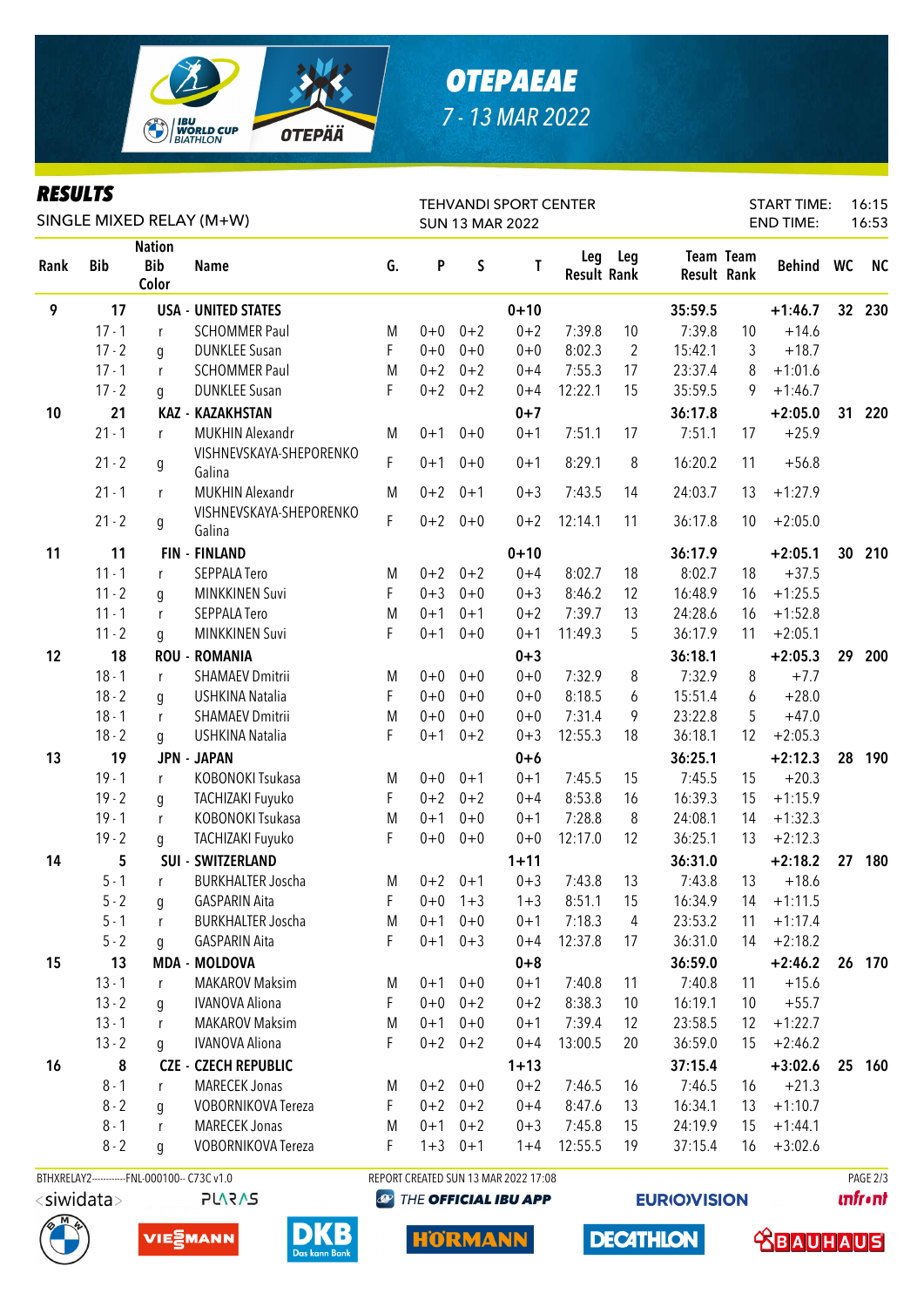

# *OTEPAEAE 7 - 13 MAR 2022*

#### *RESULTS*

| <i><b>KESULIS</b></i><br>SINGLE MIXED RELAY (M+W) |            |                                      |                                   |    | <b>TEHVANDI SPORT CENTER</b><br><b>SUN 13 MAR 2022</b> |             |          |                           |                | <b>START TIME:</b><br><b>END TIME:</b> |           |           |    | 16:15<br>16:53 |
|---------------------------------------------------|------------|--------------------------------------|-----------------------------------|----|--------------------------------------------------------|-------------|----------|---------------------------|----------------|----------------------------------------|-----------|-----------|----|----------------|
| Rank                                              | <b>Bib</b> | <b>Nation</b><br><b>Bib</b><br>Color | <b>Name</b>                       | G. | P                                                      | S           | T        | Leg<br><b>Result Rank</b> | Leg            | <b>Result Rank</b>                     | Team Team | Behind WC |    | <b>NC</b>      |
| 9                                                 | 17         |                                      | <b>USA - UNITED STATES</b>        |    |                                                        |             | $0 + 10$ |                           |                | 35:59.5                                |           | $+1:46.7$ | 32 | 230            |
|                                                   | $17 - 1$   | r                                    | <b>SCHOMMER Paul</b>              | M  | $0 + 0$                                                | $0 + 2$     | $0 + 2$  | 7:39.8                    | 10             | 7:39.8                                 | 10        | $+14.6$   |    |                |
|                                                   | $17 - 2$   | g                                    | <b>DUNKLEE Susan</b>              | F  | $0 + 0$                                                | $0 + 0$     | $0 + 0$  | 8:02.3                    | $\overline{2}$ | 15:42.1                                | 3         | $+18.7$   |    |                |
|                                                   | $17 - 1$   | r                                    | <b>SCHOMMER Paul</b>              | M  | $0 + 2$                                                | $0 + 2$     | $0 + 4$  | 7:55.3                    | 17             | 23:37.4                                | 8         | $+1:01.6$ |    |                |
|                                                   | $17 - 2$   | g                                    | <b>DUNKLEE Susan</b>              | F  | $0 + 2$                                                | $0 + 2$     | $0 + 4$  | 12:22.1                   | 15             | 35:59.5                                | 9         | $+1:46.7$ |    |                |
| 10                                                | 21         |                                      | <b>KAZ - KAZAKHSTAN</b>           |    |                                                        |             | $0 + 7$  |                           |                | 36:17.8                                |           | $+2:05.0$ | 31 | 220            |
|                                                   | $21 - 1$   | r                                    | <b>MUKHIN Alexandr</b>            | M  | $0 + 1$                                                | $0 + 0$     | $0 + 1$  | 7:51.1                    | 17             | 7:51.1                                 | 17        | $+25.9$   |    |                |
|                                                   | $21 - 2$   | g                                    | VISHNEVSKAYA-SHEPORENKO<br>Galina | F  | $0 + 1$                                                | $0 + 0$     | $0 + 1$  | 8:29.1                    | 8              | 16:20.2                                | 11        | $+56.8$   |    |                |
|                                                   | $21 - 1$   | r                                    | <b>MUKHIN Alexandr</b>            | M  | $0 + 2$                                                | $0 + 1$     | $0 + 3$  | 7:43.5                    | 14             | 24:03.7                                | 13        | $+1:27.9$ |    |                |
|                                                   | $21 - 2$   | g                                    | VISHNEVSKAYA-SHEPORENKO<br>Galina | F. |                                                        | $0+2$ 0+0   | $0 + 2$  | 12:14.1                   | 11             | 36:17.8                                | 10        | $+2:05.0$ |    |                |
| 11                                                | 11         |                                      | <b>FIN - FINLAND</b>              |    |                                                        |             | $0 + 10$ |                           |                | 36:17.9                                |           | $+2:05.1$ | 30 | 210            |
|                                                   | $11 - 1$   | r                                    | <b>SEPPALA Tero</b>               | M  | $0 + 2$                                                | $0 + 2$     | $0 + 4$  | 8:02.7                    | 18             | 8:02.7                                 | 18        | $+37.5$   |    |                |
|                                                   | $11 - 2$   | g                                    | <b>MINKKINEN Suvi</b>             | F  | $0 + 3$                                                | $0 + 0$     | $0 + 3$  | 8:46.2                    | 12             | 16:48.9                                | 16        | $+1:25.5$ |    |                |
|                                                   | $11 - 1$   | r                                    | <b>SEPPALA Tero</b>               | M  | $0 + 1$                                                | $0 + 1$     | $0 + 2$  | 7:39.7                    | 13             | 24:28.6                                | 16        | $+1:52.8$ |    |                |
|                                                   | $11 - 2$   | g                                    | <b>MINKKINEN Suvi</b>             | F  | $0 + 1$                                                | $0 + 0$     | $0 + 1$  | 11:49.3                   | 5              | 36:17.9                                | 11        | $+2:05.1$ |    |                |
| 12                                                | 18         |                                      | <b>ROU - ROMANIA</b>              |    |                                                        |             | $0 + 3$  |                           |                | 36:18.1                                |           | $+2:05.3$ | 29 | 200            |
|                                                   | $18 - 1$   | r                                    | <b>SHAMAEV Dmitrii</b>            | M  | $0 + 0$                                                | $0 + 0$     | $0 + 0$  | 7:32.9                    | 8              | 7:32.9                                 | 8         | $+7.7$    |    |                |
|                                                   | $18 - 2$   | q                                    | <b>USHKINA Natalia</b>            | F  | $0 + 0$                                                | $0 + 0$     | $0 + 0$  | 8:18.5                    | 6              | 15:51.4                                | 6         | $+28.0$   |    |                |
|                                                   | $18 - 1$   | r                                    | <b>SHAMAEV Dmitrii</b>            | M  | $0 + 0$                                                | $0 + 0$     | $0 + 0$  | 7:31.4                    | 9              | 23:22.8                                | 5         | $+47.0$   |    |                |
|                                                   | $18 - 2$   | q                                    | USHKINA Natalia                   | F  | $0 + 1$                                                | $0 + 2$     | $0 + 3$  | 12:55.3                   | 18             | 36:18.1                                | 12        | $+2:05.3$ |    |                |
| 13                                                | 19         |                                      | <b>JPN - JAPAN</b>                |    |                                                        |             | $0+6$    |                           |                | 36:25.1                                |           | $+2:12.3$ | 28 | 190            |
|                                                   | $19 - 1$   | $\mathsf{r}$                         | KOBONOKI Tsukasa                  | M  | $0+0$                                                  | $0 + 1$     | $0 + 1$  | 7:45.5                    | 15             | 7:45.5                                 | 15        | $+20.3$   |    |                |
|                                                   | $19 - 2$   | g                                    | TACHIZAKI Fuyuko                  | F  | $0 + 2$                                                | $0 + 2$     | $0 + 4$  | 8:53.8                    | 16             | 16:39.3                                | 15        | $+1:15.9$ |    |                |
|                                                   | $19 - 1$   | r                                    | KOBONOKI Tsukasa                  | M  | $0 + 1$                                                | $0 + 0$     | $0 + 1$  | 7:28.8                    | 8              | 24:08.1                                | 14        | $+1:32.3$ |    |                |
|                                                   | $19 - 2$   | g                                    | TACHIZAKI Fuyuko                  | F  | $0+0$                                                  | $0 + 0$     | $0 + 0$  | 12:17.0                   | 12             | 36:25.1                                | 13        | $+2:12.3$ |    |                |
| 14                                                | 5          |                                      | <b>SUI - SWITZERLAND</b>          |    |                                                        |             | $1 + 11$ |                           |                | 36:31.0                                |           | $+2:18.2$ | 27 | 180            |
|                                                   | $5 - 1$    | r                                    | <b>BURKHALTER Joscha</b>          | M  | $0 + 2$                                                | $0 + 1$     | $0 + 3$  | 7:43.8                    | 13             | 7:43.8                                 | 13        | $+18.6$   |    |                |
|                                                   | $5 - 2$    | g                                    | <b>GASPARIN Aita</b>              | F  | $0 + 0$                                                | $1 + 3$     | $1 + 3$  | 8:51.1                    | 15             | 16:34.9                                | 14        | $+1:11.5$ |    |                |
|                                                   | $5 - 1$    | r                                    | <b>BURKHALTER Joscha</b>          | M  | $0 + 1$                                                | $0 + 0$     | $0 + 1$  | 7:18.3                    | 4              | 23:53.2                                | 11        | $+1:17.4$ |    |                |
|                                                   | $5 - 2$    | g                                    | <b>GASPARIN Aita</b>              | F  | $0 + 1$                                                | $0 + 3$     | $0 + 4$  | 12:37.8                   | 17             | 36:31.0                                | 14        | $+2:18.2$ |    |                |
| 15                                                | 13         |                                      | <b>MDA - MOLDOVA</b>              |    |                                                        |             | $0 + 8$  |                           |                | 36:59.0                                |           | $+2:46.2$ |    | 26 170         |
|                                                   | $13 - 1$   | r                                    | <b>MAKAROV Maksim</b>             | M  | $0 + 1$                                                | $0 + 0$     | $0 + 1$  | 7:40.8                    | 11             | 7:40.8                                 | 11        | $+15.6$   |    |                |
|                                                   | $13 - 2$   | q                                    | <b>IVANOVA Aliona</b>             | F  | $0 + 0$                                                | $0 + 2$     | $0 + 2$  | 8:38.3                    | 10             | 16:19.1                                | 10        | $+55.7$   |    |                |
|                                                   | $13 - 1$   | r                                    | <b>MAKAROV Maksim</b>             | M  | $0 + 1$                                                | $0 + 0$     | $0 + 1$  | 7:39.4                    | 12             | 23:58.5                                | 12        | $+1:22.7$ |    |                |
|                                                   | $13 - 2$   | q                                    | <b>IVANOVA Aliona</b>             | F  |                                                        | $0+2$ $0+2$ | $0 + 4$  | 13:00.5                   | 20             | 36:59.0                                | 15        | $+2:46.2$ |    |                |
| 16                                                | 8          |                                      | <b>CZE - CZECH REPUBLIC</b>       |    |                                                        |             | $1 + 13$ |                           |                | 37:15.4                                |           | $+3:02.6$ | 25 | 160            |
|                                                   | $8 - 1$    | r                                    | MARECEK Jonas                     | M  | $0 + 2$                                                | $0 + 0$     | $0 + 2$  | 7:46.5                    | 16             | 7:46.5                                 | 16        | $+21.3$   |    |                |
|                                                   | $8 - 2$    | q                                    | VOBORNIKOVA Tereza                | F  | $0 + 2$                                                | $0 + 2$     | $0 + 4$  | 8:47.6                    | 13             | 16:34.1                                | 13        | $+1:10.7$ |    |                |
|                                                   | $8 - 1$    | r                                    | <b>MARECEK Jonas</b>              | M  | $0 + 1$                                                | $0 + 2$     | $0 + 3$  | 7:45.8                    | 15             | 24:19.9                                | 15        | $+1:44.1$ |    |                |
|                                                   | $8 - 2$    | g                                    | VOBORNIKOVA Tereza                | F  |                                                        | $1+3$ 0+1   | $1 + 4$  | 12:55.5                   | 19             | 37:15.4                                | 16        | $+3:02.6$ |    |                |

BTHXRELAY2-----------FNL-000100-- C73C v1.0 REPORT CREATED SUN 13 MAR 2022 17:08 PAGE 2/3







**EXAMPLE OFFICIAL IBU APP** 

**EURIO)VISION** 

**DECATHLON** 

**unfront**